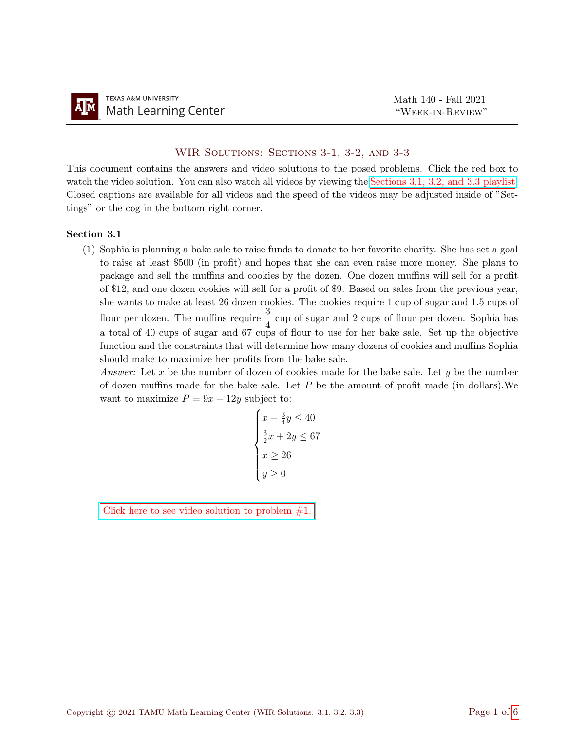## WIR SOLUTIONS: SECTIONS 3-1, 3-2, AND 3-3

This document contains the answers and video solutions to the posed problems. Click the red box to watch the video solution. You can also watch all videos by viewing the [Sections 3.1, 3.2, and 3.3 playlist.](https://youtube.com/playlist?list=PLwFg2cC3rFdmiErymFjCuwFF6ioCgEqw6) Closed captions are available for all videos and the speed of the videos may be adjusted inside of "Settings" or the cog in the bottom right corner.

## Section 3.1

(1) Sophia is planning a bake sale to raise funds to donate to her favorite charity. She has set a goal to raise at least \$500 (in profit) and hopes that she can even raise more money. She plans to package and sell the muffins and cookies by the dozen. One dozen muffins will sell for a profit of \$12, and one dozen cookies will sell for a profit of \$9. Based on sales from the previous year, she wants to make at least 26 dozen cookies. The cookies require 1 cup of sugar and 1.5 cups of flour per dozen. The muffins require  $\frac{3}{4}$  cup of sugar and 2 cups of flour per dozen. Sophia has a total of 40 cups of sugar and 67 cups of flour to use for her bake sale. Set up the objective function and the constraints that will determine how many dozens of cookies and muffins Sophia should make to maximize her profits from the bake sale.

Answer: Let x be the number of dozen of cookies made for the bake sale. Let y be the number of dozen muffins made for the bake sale. Let  $P$  be the amount of profit made (in dollars). We want to maximize  $P = 9x + 12y$  subject to:

$$
\begin{cases}\nx + \frac{3}{4}y \le 40 \\
\frac{3}{2}x + 2y \le 67 \\
x \ge 26 \\
y \ge 0\n\end{cases}
$$

Click here to see video solution to problem  $#1$ .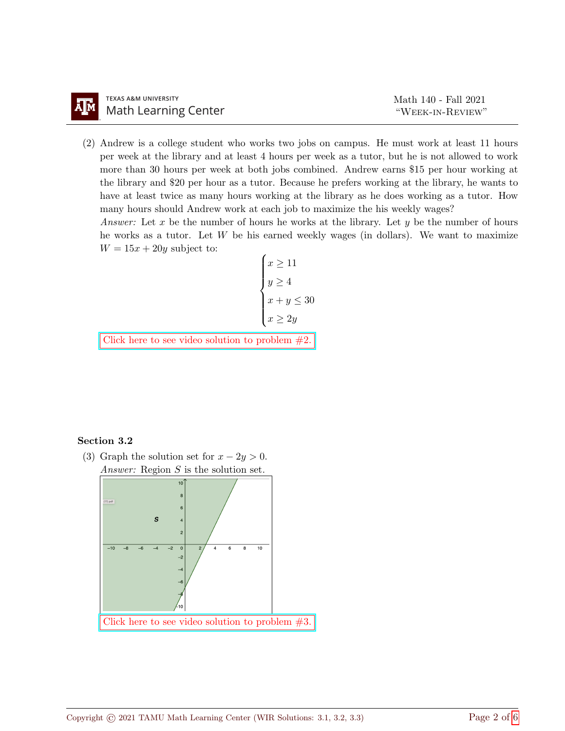(2) Andrew is a college student who works two jobs on campus. He must work at least 11 hours per week at the library and at least 4 hours per week as a tutor, but he is not allowed to work more than 30 hours per week at both jobs combined. Andrew earns \$15 per hour working at the library and \$20 per hour as a tutor. Because he prefers working at the library, he wants to have at least twice as many hours working at the library as he does working as a tutor. How many hours should Andrew work at each job to maximize the his weekly wages?

Answer: Let x be the number of hours he works at the library. Let  $y$  be the number of hours he works as a tutor. Let W be his earned weekly wages (in dollars). We want to maximize  $W = 15x + 20y$  subject to:

$$
\begin{cases}\nx \ge 11 \\
y \ge 4 \\
x + y \le 30 \\
x \ge 2y\n\end{cases}
$$

Click here to see video solution to problem  $#2$ .

## Section 3.2

(3) Graph the solution set for  $x - 2y > 0$ . Answer: Region S is the solution set.

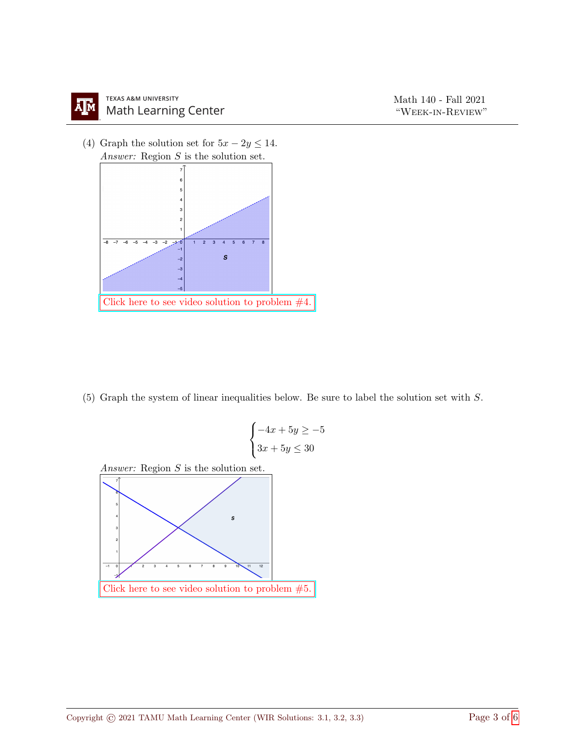(4) Graph the solution set for  $5x - 2y \le 14$ . Answer: Region  $S$  is the solution set.  $-1 - 0$  $\overline{2}$  $^{-2}$ G  $\pmb{s}$ 

[Click here to see video solution to problem #4.](https://youtu.be/GPIGpCgOC9Q)

(5) Graph the system of linear inequalities below. Be sure to label the solution set with S.

$$
\begin{cases}\n-4x + 5y \ge -5 \\
3x + 5y \le 30\n\end{cases}
$$

Answer: Region  $S$  is the solution set.

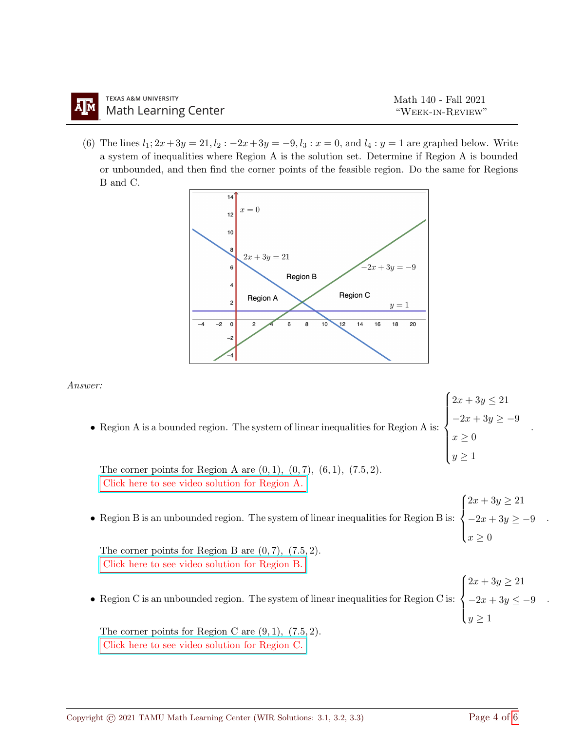(6) The lines  $l_1; 2x+3y = 21, l_2: -2x+3y = -9, l_3: x = 0$ , and  $l_4: y = 1$  are graphed below. Write a system of inequalities where Region A is the solution set. Determine if Region A is bounded or unbounded, and then find the corner points of the feasible region. Do the same for Regions B and C.



Answer:

• Region A is a bounded region. The system of linear inequalities for Region A is:  $\sqrt{ }$  $\int$  $\begin{array}{c} \end{array}$  $2x + 3y \le 21$  $-2x + 3y \ge -9$  $x \geq 0$  $y \geq 1$ 

The corner points for Region A are  $(0, 1)$ ,  $(0, 7)$ ,  $(6, 1)$ ,  $(7.5, 2)$ . [Click here to see video solution for Region A.](https://youtu.be/74-Vd5jPO_U)

• Region B is an unbounded region. The system of linear inequalities for Region B is:  $\sqrt{ }$  $\int$  $\mathcal{L}$  $2x + 3y \ge 21$  $-2x + 3y \ge -9$  $x \geq 0$ 

The corner points for Region B are  $(0, 7)$ ,  $(7.5, 2)$ . [Click here to see video solution for Region B.](https://youtu.be/4G7y3goBqcU)

• Region C is an unbounded region. The system of linear inequalities for Region C is:  $\int$  $-2x + 3y \le -9$ 

The corner points for Region C are  $(9, 1)$ ,  $(7.5, 2)$ . [Click here to see video solution for Region C.](https://youtu.be/e_Cjvw7Doc0)

 $2x + 3y \ge 21$ 

 $\sqrt{ }$ 

 $\overline{\mathcal{L}}$ 

 $y \geq 1$ 

.

.

.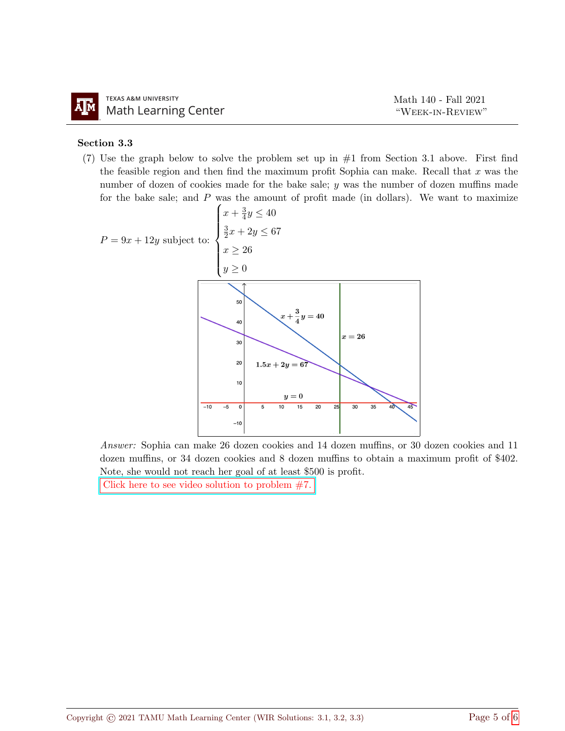## Section 3.3

(7) Use the graph below to solve the problem set up in  $#1$  from Section 3.1 above. First find the feasible region and then find the maximum profit Sophia can make. Recall that  $x$  was the number of dozen of cookies made for the bake sale; y was the number of dozen muffins made for the bake sale; and  $P$  was the amount of profit made (in dollars). We want to maximize



Answer: Sophia can make 26 dozen cookies and 14 dozen muffins, or 30 dozen cookies and 11 dozen muffins, or 34 dozen cookies and 8 dozen muffins to obtain a maximum profit of \$402. Note, she would not reach her goal of at least \$500 is profit. [Click here to see video solution to problem #7.](https://youtu.be/d6ZvbydTpKg)